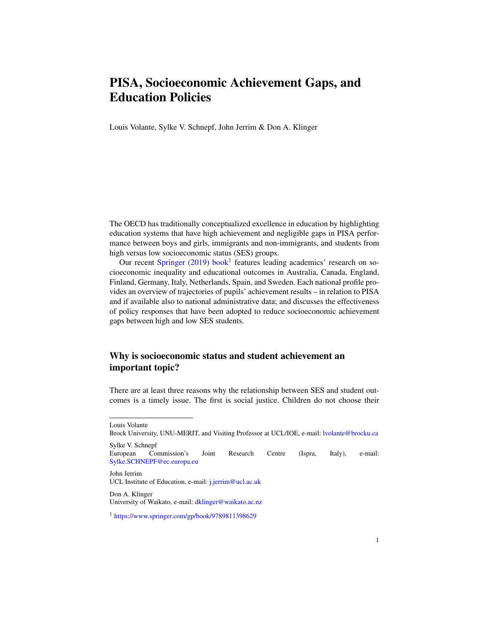## PISA, Socioeconomic Achievement Gaps, and Education Policies

Louis Volante, Sylke V. Schnepf, John Jerrim & Don A. Klinger

The OECD has traditionally conceptualized excellence in education by highlighting education systems that have high achievement and negligible gaps in PISA performance between boys and girls, immigrants and non-immigrants, and students from high versus low socioeconomic status (SES) groups.

Our recent [Springer \(2019\) book](https://www.springer.com/gp/book/9789811398629)<sup>[1](#page-0-0)</sup> features leading academics' research on socioeconomic inequality and educational outcomes in Australia, Canada, England, Finland, Germany, Italy, Netherlands, Spain, and Sweden. Each national profile provides an overview of trajectories of pupils' achievement results – in relation to PISA and if available also to national administrative data; and discusses the effectiveness of policy responses that have been adopted to reduce socioeconomic achievement gaps between high and low SES students.

## Why is socioeconomic status and student achievement an important topic?

There are at least three reasons why the relationship between SES and student outcomes is a timely issue. The first is social justice. Children do not choose their

Louis Volante

Brock University, UNU-MERIT, and Visiting Professor at UCL/IOE, e-mail: [lvolante@brocku.ca](mailto:lvolante@brocku.ca) Sylke V. Schnepf

European Commission's Joint Research Centre (Ispra, Italy), e-mail: [Sylke.SCHNEPF@ec.europa.eu](mailto:Sylke.SCHNEPF@ec.europa.eu)

John Jerrim UCL Institute of Education, e-mail: [j.jerrim@ucl.ac.uk](mailto:j.jerrim@ucl.ac.uk)

Don A. Klinger University of Waikato, e-mail: [dklinger@waikato.ac.nz](mailto:dklinger@waikato.ac.nz)

<span id="page-0-0"></span><sup>1</sup> <https://www.springer.com/gp/book/9789811398629>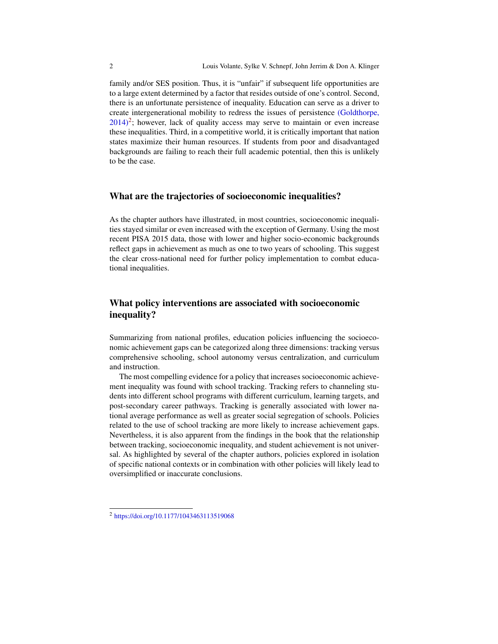family and/or SES position. Thus, it is "unfair" if subsequent life opportunities are to a large extent determined by a factor that resides outside of one's control. Second, there is an unfortunate persistence of inequality. Education can serve as a driver to create intergenerational mobility to redress the issues of persistence [\(Goldthorpe,](https://doi.org/10.1177/1043463113519068)  $2014$  $2014$ <sup>2</sup>; however, lack of quality access may serve to maintain or even increase these inequalities. Third, in a competitive world, it is critically important that nation states maximize their human resources. If students from poor and disadvantaged backgrounds are failing to reach their full academic potential, then this is unlikely to be the case.

## What are the trajectories of socioeconomic inequalities?

As the chapter authors have illustrated, in most countries, socioeconomic inequalities stayed similar or even increased with the exception of Germany. Using the most recent PISA 2015 data, those with lower and higher socio-economic backgrounds reflect gaps in achievement as much as one to two years of schooling. This suggest the clear cross-national need for further policy implementation to combat educational inequalities.

## What policy interventions are associated with socioeconomic inequality?

Summarizing from national profiles, education policies influencing the socioeconomic achievement gaps can be categorized along three dimensions: tracking versus comprehensive schooling, school autonomy versus centralization, and curriculum and instruction.

The most compelling evidence for a policy that increases socioeconomic achievement inequality was found with school tracking. Tracking refers to channeling students into different school programs with different curriculum, learning targets, and post-secondary career pathways. Tracking is generally associated with lower national average performance as well as greater social segregation of schools. Policies related to the use of school tracking are more likely to increase achievement gaps. Nevertheless, it is also apparent from the findings in the book that the relationship between tracking, socioeconomic inequality, and student achievement is not universal. As highlighted by several of the chapter authors, policies explored in isolation of specific national contexts or in combination with other policies will likely lead to oversimplified or inaccurate conclusions.

<span id="page-1-0"></span><sup>2</sup> <https://doi.org/10.1177/1043463113519068>